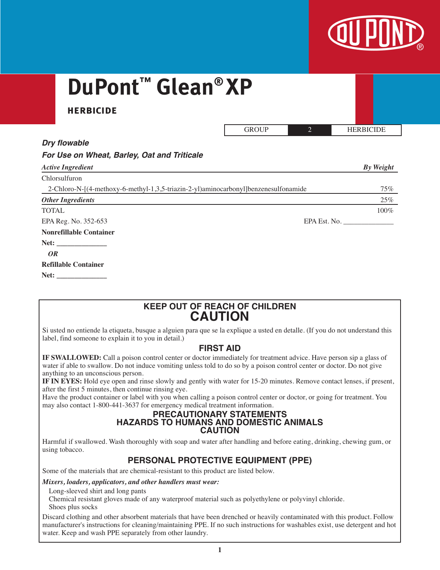

# **DuPont ™ Glean® XP**

# **herbicide**

| <b>GROUP</b> | <b>HERBICIDE</b> |
|--------------|------------------|
|              |                  |

# *Dry flowable*

|  |  |  |  |  | For Use on Wheat, Barley, Oat and Triticale |
|--|--|--|--|--|---------------------------------------------|
|--|--|--|--|--|---------------------------------------------|

| <b>Active Ingredient</b>                                                            |              | By Weight |
|-------------------------------------------------------------------------------------|--------------|-----------|
| Chlorsulfuron                                                                       |              |           |
| 2-Chloro-N-[(4-methoxy-6-methyl-1,3,5-triazin-2-yl)aminocarbonyl]benzenesulfonamide |              | 75%       |
| <b>Other Ingredients</b>                                                            |              | 25%       |
| <b>TOTAL</b>                                                                        |              | 100%      |
| EPA Reg. No. 352-653                                                                | EPA Est. No. |           |
| <b>Nonrefillable Container</b>                                                      |              |           |
|                                                                                     |              |           |
| <i>OR</i>                                                                           |              |           |
| <b>Refillable Container</b>                                                         |              |           |
| Net:                                                                                |              |           |

# **KEEP OUT OF REACH OF CHILDREN CAUTION**

Si usted no entiende la etiqueta, busque a alguien para que se la explique a usted en detalle. (If you do not understand this label, find someone to explain it to you in detail.)

# **FIRST AID**

**IF SWALLOWED:** Call a poison control center or doctor immediately for treatment advice. Have person sip a glass of water if able to swallow. Do not induce vomiting unless told to do so by a poison control center or doctor. Do not give anything to an unconscious person.

**IF IN EYES:** Hold eye open and rinse slowly and gently with water for 15-20 minutes. Remove contact lenses, if present, after the first 5 minutes, then continue rinsing eye.

Have the product container or label with you when calling a poison control center or doctor, or going for treatment. You may also contact 1-800-441-3637 for emergency medical treatment information.

#### **PRECAUTIONARY STATEMENTS HAZARDS TO HUMANS AND DOMESTIC ANIMALS CAUTION**

Harmful if swallowed. Wash thoroughly with soap and water after handling and before eating, drinking, chewing gum, or using tobacco.

# **PERSONAL PROTECTIVE EQUIPMENT (PPE)**

Some of the materials that are chemical-resistant to this product are listed below.

#### *Mixers, loaders, applicators, and other handlers must wear:*

Long-sleeved shirt and long pants

 Chemical resistant gloves made of any waterproof material such as polyethylene or polyvinyl chloride. Shoes plus socks

Discard clothing and other absorbent materials that have been drenched or heavily contaminated with this product. Follow manufacturer's instructions for cleaning/maintaining PPE. If no such instructions for washables exist, use detergent and hot water. Keep and wash PPE separately from other laundry.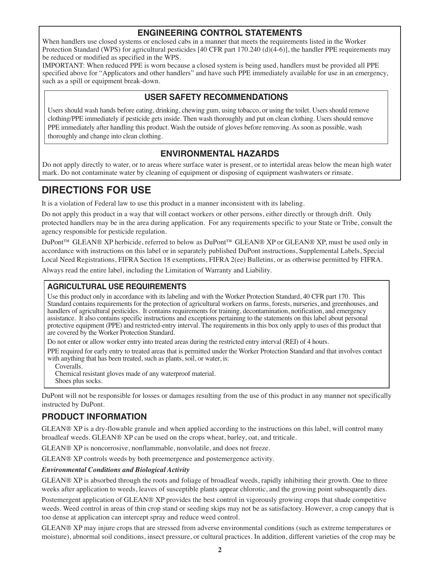# **ENGINEERING CONTROL STATEMENTS**

When handlers use closed systems or enclosed cabs in a manner that meets the requirements listed in the Worker Protection Standard (WPS) for agricultural pesticides [40 CFR part 170.240 (d)(4-6)], the handler PPE requirements may be reduced or modified as specified in the WPS.

IMPORTANT: When reduced PPE is worn because a closed system is being used, handlers must be provided all PPE specified above for "Applicators and other handlers" and have such PPE immediately available for use in an emergency, such as a spill or equipment break-down.

# **USER SAFETY RECOMMENDATIONS**

Users should wash hands before eating, drinking, chewing gum, using tobacco, or using the toilet. Users should remove clothing/PPE immediately if pesticide gets inside. Then wash thoroughly and put on clean clothing. Users should remove PPE immediately after handling this product. Wash the outside of gloves before removing. As soon as possible, wash thoroughly and change into clean clothing.

# **ENVIRONMENTAL HAZARDS**

Do not apply directly to water, or to areas where surface water is present, or to intertidal areas below the mean high water mark. Do not contaminate water by cleaning of equipment or disposing of equipment washwaters or rinsate.

# **DIRECTIONS FOR USE**

It is a violation of Federal law to use this product in a manner inconsistent with its labeling.

Do not apply this product in a way that will contact workers or other persons, either directly or through drift. Only protected handlers may be in the area during application. For any requirements specific to your State or Tribe, consult the agency responsible for pesticide regulation.

DuPont™ GLEAN® XP herbicide, referred to below as DuPont™ GLEAN® XP or GLEAN® XP, must be used only in accordance with instructions on this label or in separately published DuPont instructions, Supplemental Labels, Special Local Need Registrations, FIFRA Section 18 exemptions, FIFRA 2(ee) Bulletins, or as otherwise permitted by FIFRA.

Always read the entire label, including the Limitation of Warranty and Liability.

# **AGRICULTURAL USE REQUIREMENTS**

Use this product only in accordance with its labeling and with the Worker Protection Standard, 40 CFR part 170. This Standard contains requirements for the protection of agricultural workers on farms, forests, nurseries, and greenhouses, and handlers of agricultural pesticides. It contains requirements for training, decontamination, notification, and emergency assistance. It also contains specific instructions and exceptions pertaining to the statements on this label about personal protective equipment (PPE) and restricted-entry interval. The requirements in this box only apply to uses of this product that are covered by the Worker Protection Standard.

Do not enter or allow worker entry into treated areas during the restricted entry interval (REI) of 4 hours.

PPE required for early entry to treated areas that is permitted under the Worker Protection Standard and that involves contact with anything that has been treated, such as plants, soil, or water, is:

Coveralls.

Chemical resistant gloves made of any waterproof material. Shoes plus socks.

DuPont will not be responsible for losses or damages resulting from the use of this product in any manner not specifically instructed by DuPont.

# **PRODUCT INFORMATION**

GLEAN® XP is a dry-flowable granule and when applied according to the instructions on this label, will control many broadleaf weeds. GLEAN® XP can be used on the crops wheat, barley, oat, and triticale.

GLEAN® XP is noncorrosive, nonflammable, nonvolatile, and does not freeze.

GLEAN® XP controls weeds by both preemergence and postemergence activity.

#### *Environmental Conditions and Biological Activity*

GLEAN® XP is absorbed through the roots and foliage of broadleaf weeds, rapidly inhibiting their growth. One to three weeks after application to weeds, leaves of susceptible plants appear chlorotic, and the growing point subsequently dies.

Postemergent application of GLEAN® XP provides the best control in vigorously growing crops that shade competitive weeds. Weed control in areas of thin crop stand or seeding skips may not be as satisfactory. However, a crop canopy that is too dense at application can intercept spray and reduce weed control.

GLEAN® XP may injure crops that are stressed from adverse environmental conditions (such as extreme temperatures or moisture), abnormal soil conditions, insect pressure, or cultural practices. In addition, different varieties of the crop may be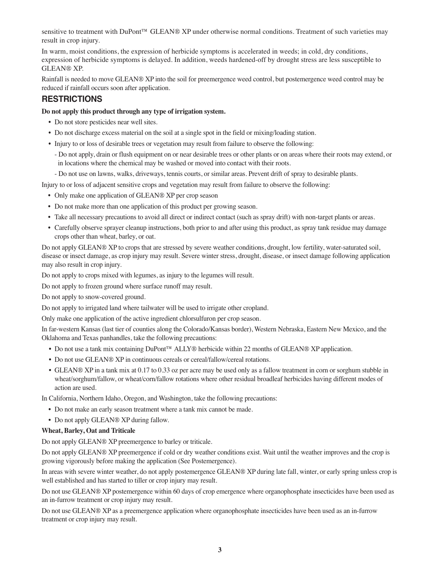sensitive to treatment with DuPont™ GLEAN® XP under otherwise normal conditions. Treatment of such varieties may result in crop injury.

In warm, moist conditions, the expression of herbicide symptoms is accelerated in weeds; in cold, dry conditions, expression of herbicide symptoms is delayed. In addition, weeds hardened-off by drought stress are less susceptible to GLEAN® XP.

Rainfall is needed to move GLEAN® XP into the soil for preemergence weed control, but postemergence weed control may be reduced if rainfall occurs soon after application.

# **RESTRICTIONS**

#### **Do not apply this product through any type of irrigation system.**

- Do not store pesticides near well sites.
- Do not discharge excess material on the soil at a single spot in the field or mixing/loading station.
- Injury to or loss of desirable trees or vegetation may result from failure to observe the following:
	- Do not apply, drain or flush equipment on or near desirable trees or other plants or on areas where their roots may extend, or in locations where the chemical may be washed or moved into contact with their roots.
	- Do not use on lawns, walks, driveways, tennis courts, or similar areas. Prevent drift of spray to desirable plants.

Injury to or loss of adjacent sensitive crops and vegetation may result from failure to observe the following:

- Only make one application of GLEAN® XP per crop season
- Do not make more than one application of this product per growing season.
- Take all necessary precautions to avoid all direct or indirect contact (such as spray drift) with non-target plants or areas.
- Carefully observe sprayer cleanup instructions, both prior to and after using this product, as spray tank residue may damage crops other than wheat, barley, or oat.

Do not apply GLEAN® XP to crops that are stressed by severe weather conditions, drought, low fertility, water-saturated soil, disease or insect damage, as crop injury may result. Severe winter stress, drought, disease, or insect damage following application may also result in crop injury.

Do not apply to crops mixed with legumes, as injury to the legumes will result.

Do not apply to frozen ground where surface runoff may result.

Do not apply to snow-covered ground.

Do not apply to irrigated land where tailwater will be used to irrigate other cropland.

Only make one application of the active ingredient chlorsulfuron per crop season.

In far-western Kansas (last tier of counties along the Colorado/Kansas border), Western Nebraska, Eastern New Mexico, and the Oklahoma and Texas panhandles, take the following precautions:

- Do not use a tank mix containing DuPont™ ALLY® herbicide within 22 months of GLEAN® XP application.
- Do not use GLEAN® XP in continuous cereals or cereal/fallow/cereal rotations.
- GLEAN® XP in a tank mix at 0.17 to 0.33 oz per acre may be used only as a fallow treatment in corn or sorghum stubble in wheat/sorghum/fallow, or wheat/corn/fallow rotations where other residual broadleaf herbicides having different modes of action are used.

In California, Northern Idaho, Oregon, and Washington, take the following precautions:

- Do not make an early season treatment where a tank mix cannot be made.
- Do not apply GLEAN® XP during fallow.

#### **Wheat, Barley, Oat and Triticale**

Do not apply GLEAN® XP preemergence to barley or triticale.

Do not apply GLEAN® XP preemergence if cold or dry weather conditions exist. Wait until the weather improves and the crop is growing vigorously before making the application (See Postemergence).

In areas with severe winter weather, do not apply postemergence GLEAN® XP during late fall, winter, or early spring unless crop is well established and has started to tiller or crop injury may result.

Do not use GLEAN® XP postemergence within 60 days of crop emergence where organophosphate insecticides have been used as an in-furrow treatment or crop injury may result.

Do not use GLEAN® XP as a preemergence application where organophosphate insecticides have been used as an in-furrow treatment or crop injury may result.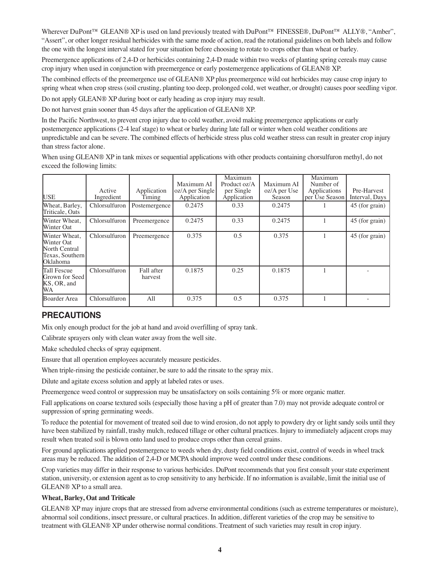Wherever DuPont<sup>™</sup> GLEAN® XP is used on land previously treated with DuPont<sup>™</sup> FINESSE®, DuPont<sup>™</sup> ALLY®, "Amber", "Assert", or other longer residual herbicides with the same mode of action, read the rotational guidelines on both labels and follow the one with the longest interval stated for your situation before choosing to rotate to crops other than wheat or barley.

Preemergence applications of 2,4-D or herbicides containing 2,4-D made within two weeks of planting spring cereals may cause crop injury when used in conjunction with preemergence or early postemergence applications of GLEAN® XP.

The combined effects of the preemergence use of GLEAN® XP plus preemergence wild oat herbicides may cause crop injury to spring wheat when crop stress (soil crusting, planting too deep, prolonged cold, wet weather, or drought) causes poor seedling vigor.

Do not apply GLEAN® XP during boot or early heading as crop injury may result.

Do not harvest grain sooner than 45 days after the application of GLEAN® XP.

In the Pacific Northwest, to prevent crop injury due to cold weather, avoid making preemergence applications or early postemergence applications (2-4 leaf stage) to wheat or barley during late fall or winter when cold weather conditions are unpredictable and can be severe. The combined effects of herbicide stress plus cold weather stress can result in greater crop injury than stress factor alone.

When using GLEAN® XP in tank mixes or sequential applications with other products containing chorsulfuron methyl, do not exceed the following limits:

| <b>USE</b>                                                                         | Active<br>Ingredient | Application<br>Timing | Maximum AI<br>oz/A per Single<br>Application | Maximum<br>Product oz/A<br>per Single<br>Application | Maximum AI<br>oz/A per Use<br>Season | Maximum<br>Number of<br>Applications<br>per Use Season | Pre-Harvest<br>Interval, Days |
|------------------------------------------------------------------------------------|----------------------|-----------------------|----------------------------------------------|------------------------------------------------------|--------------------------------------|--------------------------------------------------------|-------------------------------|
| Wheat, Barley,<br>Triticale, Oats                                                  | Chlorsulfuron        | Postemergence         | 0.2475                                       | 0.33                                                 | 0.2475                               |                                                        | 45 (for grain)                |
| Winter Wheat.<br>Winter Oat                                                        | Chlorsulfuron        | Preemergence          | 0.2475                                       | 0.33                                                 | 0.2475                               |                                                        | 45 (for grain)                |
| Winter Wheat,<br>Winter Oat<br>North Central<br>Texas, Southern<br><b>Oklahoma</b> | Chlorsulfuron        | Preemergence          | 0.375                                        | 0.5                                                  | 0.375                                |                                                        | 45 (for grain)                |
| Tall Fescue<br>Grown for Seed<br>KS, OR, and<br><b>WA</b>                          | Chlorsulfuron        | Fall after<br>harvest | 0.1875                                       | 0.25                                                 | 0.1875                               |                                                        |                               |
| <b>Boarder Area</b>                                                                | Chlorsulfuron        | All                   | 0.375                                        | 0.5                                                  | 0.375                                |                                                        |                               |

# **PRECAUTIONS**

Mix only enough product for the job at hand and avoid overfilling of spray tank.

Calibrate sprayers only with clean water away from the well site.

Make scheduled checks of spray equipment.

Ensure that all operation employees accurately measure pesticides.

When triple-rinsing the pesticide container, be sure to add the rinsate to the spray mix.

Dilute and agitate excess solution and apply at labeled rates or uses.

Preemergence weed control or suppression may be unsatisfactory on soils containing 5% or more organic matter.

Fall applications on coarse textured soils (especially those having a pH of greater than 7.0) may not provide adequate control or suppression of spring germinating weeds.

To reduce the potential for movement of treated soil due to wind erosion, do not apply to powdery dry or light sandy soils until they have been stabilized by rainfall, trashy mulch, reduced tillage or other cultural practices. Injury to immediately adjacent crops may result when treated soil is blown onto land used to produce crops other than cereal grains.

For ground applications applied postemergence to weeds when dry, dusty field conditions exist, control of weeds in wheel track areas may be reduced. The addition of 2,4-D or MCPA should improve weed control under these conditions.

Crop varieties may differ in their response to various herbicides. DuPont recommends that you first consult your state experiment station, university, or extension agent as to crop sensitivity to any herbicide. If no information is available, limit the initial use of GLEAN® XP to a small area.

#### **Wheat, Barley, Oat and Triticale**

GLEAN® XP may injure crops that are stressed from adverse environmental conditions (such as extreme temperatures or moisture), abnormal soil conditions, insect pressure, or cultural practices. In addition, different varieties of the crop may be sensitive to treatment with GLEAN® XP under otherwise normal conditions. Treatment of such varieties may result in crop injury.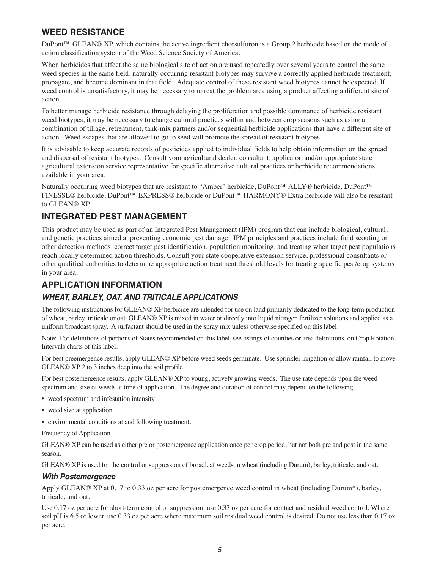# **WEED RESISTANCE**

DuPont™ GLEAN® XP, which contains the active ingredient chorsulfuron is a Group 2 herbicide based on the mode of action classification system of the Weed Science Society of America.

When herbicides that affect the same biological site of action are used repeatedly over several years to control the same weed species in the same field, naturally-occurring resistant biotypes may survive a correctly applied herbicide treatment, propagate, and become dominant in that field. Adequate control of these resistant weed biotypes cannot be expected. If weed control is unsatisfactory, it may be necessary to retreat the problem area using a product affecting a different site of action.

To better manage herbicide resistance through delaying the proliferation and possible dominance of herbicide resistant weed biotypes, it may be necessary to change cultural practices within and between crop seasons such as using a combination of tillage, retreatment, tank-mix partners and/or sequential herbicide applications that have a different site of action. Weed escapes that are allowed to go to seed will promote the spread of resistant biotypes.

It is advisable to keep accurate records of pesticides applied to individual fields to help obtain information on the spread and dispersal of resistant biotypes. Consult your agricultural dealer, consultant, applicator, and/or appropriate state agricultural extension service representative for specific alternative cultural practices or herbicide recommendations available in your area.

Naturally occurring weed biotypes that are resistant to "Amber" herbicide, DuPont™ ALLY® herbicide, DuPont™ FINESSE® herbicide, DuPont™ EXPRESS® herbicide or DuPont™ HARMONY® Extra herbicide will also be resistant to GLEAN® XP.

# **INTEGRATED PEST MANAGEMENT**

This product may be used as part of an Integrated Pest Management (IPM) program that can include biological, cultural, and genetic practices aimed at preventing economic pest damage. IPM principles and practices include field scouting or other detection methods, correct target pest identification, population monitoring, and treating when target pest populations reach locally determined action thresholds. Consult your state cooperative extension service, professional consultants or other qualified authorities to determine appropriate action treatment threshold levels for treating specific pest/crop systems in your area.

# **APPLICATION INFORMATION**

# *WHEAT, BARLEY, OAT, AND TRITICALE APPLICATIONS*

The following instructions for GLEAN® XP herbicide are intended for use on land primarily dedicated to the long-term production of wheat, barley, triticale or oat. GLEAN® XP is mixed in water or directly into liquid nitrogen fertilizer solutions and applied as a uniform broadcast spray. A surfactant should be used in the spray mix unless otherwise specified on this label.

Note: For definitions of portions of States recommended on this label, see listings of counties or area definitions on Crop Rotation Intervals charts of this label.

For best preemergence results, apply GLEAN® XP before weed seeds germinate. Use sprinkler irrigation or allow rainfall to move GLEAN® XP 2 to 3 inches deep into the soil profile.

For best postemergence results, apply GLEAN® XP to young, actively growing weeds. The use rate depends upon the weed spectrum and size of weeds at time of application. The degree and duration of control may depend on the following:

- weed spectrum and infestation intensity
- weed size at application
- environmental conditions at and following treatment.

Frequency of Application

GLEAN® XP can be used as either pre or postemergence application once per crop period, but not both pre and post in the same season.

GLEAN® XP is used for the control or suppression of broadleaf weeds in wheat (including Durum), barley, triticale, and oat.

#### *With Postemergence*

Apply GLEAN® XP at 0.17 to 0.33 oz per acre for postemergence weed control in wheat (including Durum\*), barley, triticale, and oat.

Use 0.17 oz per acre for short-term control or suppression; use 0.33 oz per acre for contact and residual weed control. Where soil pH is 6.5 or lower, use 0.33 oz per acre where maximum soil residual weed control is desired. Do not use less than 0.17 oz per acre.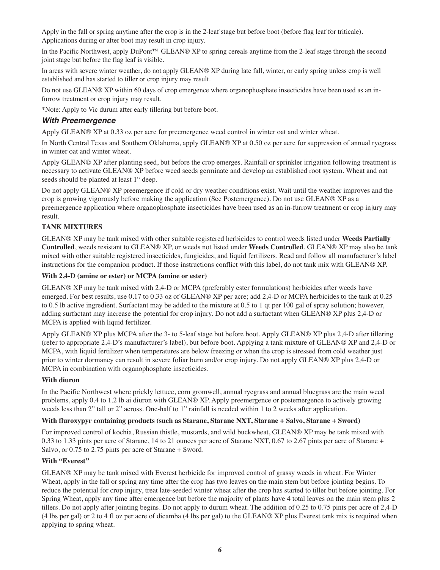Apply in the fall or spring anytime after the crop is in the 2-leaf stage but before boot (before flag leaf for triticale). Applications during or after boot may result in crop injury.

In the Pacific Northwest, apply DuPont™ GLEAN® XP to spring cereals anytime from the 2-leaf stage through the second joint stage but before the flag leaf is visible.

In areas with severe winter weather, do not apply GLEAN® XP during late fall, winter, or early spring unless crop is well established and has started to tiller or crop injury may result.

Do not use GLEAN® XP within 60 days of crop emergence where organophosphate insecticides have been used as an infurrow treatment or crop injury may result.

\*Note: Apply to Vic durum after early tillering but before boot.

#### *With Preemergence*

Apply GLEAN® XP at 0.33 oz per acre for preemergence weed control in winter oat and winter wheat.

In North Central Texas and Southern Oklahoma, apply GLEAN® XP at 0.50 oz per acre for suppression of annual ryegrass in winter oat and winter wheat.

Apply GLEAN® XP after planting seed, but before the crop emerges. Rainfall or sprinkler irrigation following treatment is necessary to activate GLEAN® XP before weed seeds germinate and develop an established root system. Wheat and oat seeds should be planted at least 1" deep.

Do not apply GLEAN® XP preemergence if cold or dry weather conditions exist. Wait until the weather improves and the crop is growing vigorously before making the application (See Postemergence). Do not use GLEAN® XP as a preemergence application where organophosphate insecticides have been used as an in-furrow treatment or crop injury may result.

#### **TANK MIXTURES**

GLEAN® XP may be tank mixed with other suitable registered herbicides to control weeds listed under **Weeds Partially Controlled**, weeds resistant to GLEAN® XP, or weeds not listed under **Weeds Controlled**. GLEAN® XP may also be tank mixed with other suitable registered insecticides, fungicides, and liquid fertilizers. Read and follow all manufacturer's label instructions for the companion product. If those instructions conflict with this label, do not tank mix with GLEAN® XP.

#### **With 2,4-D (amine or ester) or MCPA (amine or ester)**

GLEAN® XP may be tank mixed with 2,4-D or MCPA (preferably ester formulations) herbicides after weeds have emerged. For best results, use 0.17 to 0.33 oz of GLEAN® XP per acre; add 2,4-D or MCPA herbicides to the tank at 0.25 to 0.5 lb active ingredient. Surfactant may be added to the mixture at 0.5 to 1 qt per 100 gal of spray solution; however, adding surfactant may increase the potential for crop injury. Do not add a surfactant when GLEAN® XP plus 2,4-D or MCPA is applied with liquid fertilizer.

Apply GLEAN® XP plus MCPA after the 3- to 5-leaf stage but before boot. Apply GLEAN® XP plus 2,4-D after tillering (refer to appropriate 2,4-D's manufacturer's label), but before boot. Applying a tank mixture of GLEAN® XP and 2,4-D or MCPA, with liquid fertilizer when temperatures are below freezing or when the crop is stressed from cold weather just prior to winter dormancy can result in severe foliar burn and/or crop injury. Do not apply GLEAN® XP plus 2,4-D or MCPA in combination with organophosphate insecticides.

#### **With diuron**

In the Pacific Northwest where prickly lettuce, corn gromwell, annual ryegrass and annual bluegrass are the main weed problems, apply 0.4 to 1.2 lb ai diuron with GLEAN® XP. Apply preemergence or postemergence to actively growing weeds less than 2" tall or 2" across. One-half to 1" rainfall is needed within 1 to 2 weeks after application.

#### **With fluroxypyr containing products (such as Starane, Starane NXT, Starane + Salvo, Starane + Sword)**

For improved control of kochia, Russian thistle, mustards, and wild buckwheat, GLEAN® XP may be tank mixed with 0.33 to 1.33 pints per acre of Starane, 14 to 21 ounces per acre of Starane NXT, 0.67 to 2.67 pints per acre of Starane + Salvo, or 0.75 to 2.75 pints per acre of Starane + Sword.

#### **With "Everest"**

GLEAN® XP may be tank mixed with Everest herbicide for improved control of grassy weeds in wheat. For Winter Wheat, apply in the fall or spring any time after the crop has two leaves on the main stem but before jointing begins. To reduce the potential for crop injury, treat late-seeded winter wheat after the crop has started to tiller but before jointing. For Spring Wheat, apply any time after emergence but before the majority of plants have 4 total leaves on the main stem plus 2 tillers. Do not apply after jointing begins. Do not apply to durum wheat. The addition of 0.25 to 0.75 pints per acre of 2,4-D (4 lbs per gal) or 2 to 4 fl oz per acre of dicamba (4 lbs per gal) to the GLEAN® XP plus Everest tank mix is required when applying to spring wheat.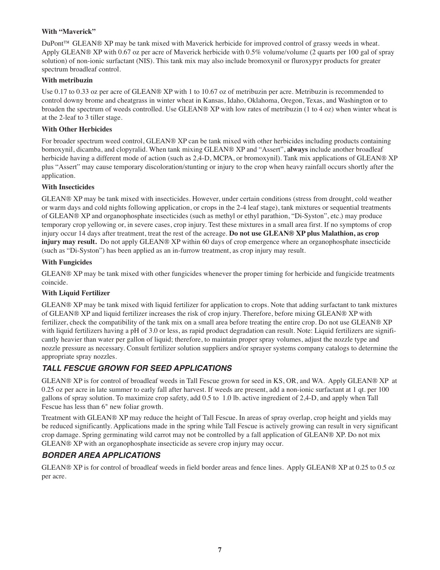#### **With "Maverick"**

DuPont™ GLEAN® XP may be tank mixed with Maverick herbicide for improved control of grassy weeds in wheat. Apply GLEAN® XP with 0.67 oz per acre of Maverick herbicide with 0.5% volume/volume (2 quarts per 100 gal of spray solution) of non-ionic surfactant (NIS). This tank mix may also include bromoxynil or fluroxypyr products for greater spectrum broadleaf control.

#### **With metribuzin**

Use 0.17 to 0.33 oz per acre of GLEAN® XP with 1 to 10.67 oz of metribuzin per acre. Metribuzin is recommended to control downy brome and cheatgrass in winter wheat in Kansas, Idaho, Oklahoma, Oregon, Texas, and Washington or to broaden the spectrum of weeds controlled. Use GLEAN® XP with low rates of metribuzin (1 to 4 oz) when winter wheat is at the 2-leaf to 3 tiller stage.

#### **With Other Herbicides**

For broader spectrum weed control, GLEAN® XP can be tank mixed with other herbicides including products containing bomoxynil, dicamba, and clopyralid. When tank mixing GLEAN® XP and "Assert", **always** include another broadleaf herbicide having a different mode of action (such as 2,4-D, MCPA, or bromoxynil). Tank mix applications of GLEAN® XP plus "Assert" may cause temporary discoloration/stunting or injury to the crop when heavy rainfall occurs shortly after the application.

#### **With Insecticides**

GLEAN® XP may be tank mixed with insecticides. However, under certain conditions (stress from drought, cold weather or warm days and cold nights following application, or crops in the 2-4 leaf stage), tank mixtures or sequential treatments of GLEAN® XP and organophosphate insecticides (such as methyl or ethyl parathion, "Di-Syston", etc.) may produce temporary crop yellowing or, in severe cases, crop injury. Test these mixtures in a small area first. If no symptoms of crop injury occur 14 days after treatment, treat the rest of the acreage. **Do not use GLEAN® XP plus Malathion, as crop injury may result.** Do not apply GLEAN® XP within 60 days of crop emergence where an organophosphate insecticide (such as "Di-Syston") has been applied as an in-furrow treatment, as crop injury may result.

#### **With Fungicides**

GLEAN® XP may be tank mixed with other fungicides whenever the proper timing for herbicide and fungicide treatments coincide.

#### **With Liquid Fertilizer**

GLEAN® XP may be tank mixed with liquid fertilizer for application to crops. Note that adding surfactant to tank mixtures of GLEAN® XP and liquid fertilizer increases the risk of crop injury. Therefore, before mixing GLEAN® XP with fertilizer, check the compatibility of the tank mix on a small area before treating the entire crop. Do not use GLEAN® XP with liquid fertilizers having a pH of 3.0 or less, as rapid product degradation can result. Note: Liquid fertilizers are significantly heavier than water per gallon of liquid; therefore, to maintain proper spray volumes, adjust the nozzle type and nozzle pressure as necessary. Consult fertilizer solution suppliers and/or sprayer systems company catalogs to determine the appropriate spray nozzles.

# *TALL FESCUE GROWN FOR SEED APPLICATIONS*

GLEAN® XP is for control of broadleaf weeds in Tall Fescue grown for seed in KS, OR, and WA. Apply GLEAN® XP at 0.25 oz per acre in late summer to early fall after harvest. If weeds are present, add a non-ionic surfactant at 1 qt. per 100 gallons of spray solution. To maximize crop safety, add 0.5 to 1.0 lb. active ingredient of 2,4-D, and apply when Tall Fescue has less than 6" new foliar growth.

Treatment with GLEAN® XP may reduce the height of Tall Fescue. In areas of spray overlap, crop height and yields may be reduced significantly. Applications made in the spring while Tall Fescue is actively growing can result in very significant crop damage. Spring germinating wild carrot may not be controlled by a fall application of GLEAN® XP. Do not mix GLEAN® XP with an organophosphate insecticide as severe crop injury may occur.

# *BORDER AREA APPLICATIONS*

GLEAN® XP is for control of broadleaf weeds in field border areas and fence lines. Apply GLEAN® XP at 0.25 to 0.5 oz per acre.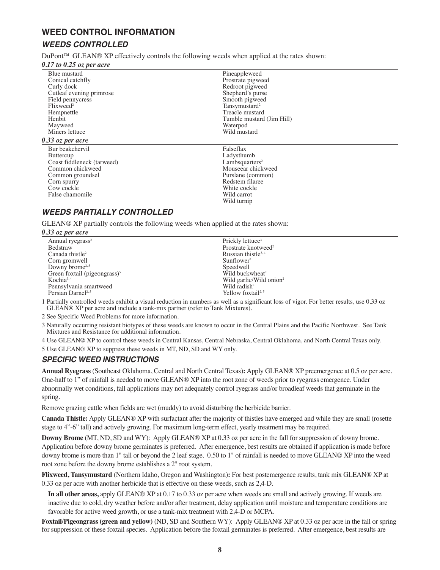# **WEED CONTROL INFORMATION**

# *WEEDS CONTROLLED*

DuPont™ GLEAN® XP effectively controls the following weeds when applied at the rates shown:

#### *0.17 to 0.25 oz per acre*

| Blue mustard               | Pineappleweed              |
|----------------------------|----------------------------|
| Conical catchfly           | Prostrate pigweed          |
| Curly dock                 | Redroot pigweed            |
| Cutleaf evening primrose   | Shepherd's purse           |
| Field pennycress           | Smooth pigweed             |
| Flixweed <sup>2</sup>      | Tansymustard <sup>2</sup>  |
| Hempnettle                 | Treacle mustard            |
| Henbit                     | Tumble mustard (Jim Hill)  |
| Mayweed                    | Waterpod                   |
| Miners lettuce             | Wild mustard               |
| $0.33$ oz per acre         |                            |
| Bur beakchervil            | Falseflax                  |
| <b>Buttercup</b>           | Ladysthumb                 |
| Coast fiddleneck (tarweed) | Lambsquarters <sup>2</sup> |
| Common chickweed           | Mouseear chickweed         |
| Common groundsel           | Purslane (common)          |
| Corn spurry                | Redstem filaree            |
| Cow cockle                 | White cockle               |
| False chamomile            | Wild carrot                |
|                            | Wild turnip                |
|                            |                            |

# *WEEDS PARTIALLY CONTROLLED*

GLEAN® XP partially controls the following weeds when applied at the rates shown:

#### *0.33 oz per acre*

| $\cdots$ $\cdots$                       |                                     |
|-----------------------------------------|-------------------------------------|
| Annual ryegrass <sup>2</sup>            | Prickly lettuce <sup>3</sup>        |
| Bedstraw                                | Prostrate knotweed <sup>2</sup>     |
| Canada thistle <sup>2</sup>             | Russian thistle $3,4$               |
| Corn gromwell                           | Sunflower <sup>2</sup>              |
| Downy brome <sup><math>2,5</math></sup> | Speedwell                           |
| Green foxtail (pigeongrass) $5$         | Wild buckwheat <sup>2</sup>         |
| $Kochia^{3,4}$                          | Wild garlic/Wild onion <sup>2</sup> |
| Pennsylvania smartweed                  | Wild radish <sup>2</sup>            |
| Persian Darnel <sup>2,5</sup>           | Yellow foxtail <sup>2,5</sup>       |
|                                         |                                     |

<sup>1</sup> Partially controlled weeds exhibit <sup>a</sup> visual reduction in numbers as well as <sup>a</sup> significant loss of vigor. For better results, use 0.33 oz GLEAN® XP per acre and include <sup>a</sup> tank-mix partner (refer to Tank Mixtures).

2 See Specific Weed Problems for more information.

3 Naturally occurring resistant biotypes of these weeds are known to occur in the Central Plains and the Pacific Northwest. See Tank Mixtures and Resistance for additional information.

4 Use GLEAN® XP to control these weeds in Central Kansas, Central Nebraska, Central Oklahoma, and North Central Texas only.

5 Use GLEAN® XP to suppress these weeds in MT, ND, SD and WY only.

# *SPECIFIC WEED INSTRUCTIONS*

**Annual Ryegrass** (Southeast Oklahoma, Central and North Central Texas)**:** Apply GLEAN® XP preemergence at 0.5 oz per acre. One-half to 1" of rainfall is needed to move GLEAN® XP into the root zone of weeds prior to ryegrass emergence. Under abnormally wet conditions, fall applications may not adequately control ryegrass and/or broadleaf weeds that germinate in the spring.

Remove grazing cattle when fields are wet (muddy) to avoid disturbing the herbicide barrier.

**Canada Thistle:** Apply GLEAN® XP with surfactant after the majority of thistles have emerged and while they are small (rosette stage to 4"-6" tall) and actively growing. For maximum long-term effect, yearly treatment may be required.

**Downy Brome** (MT, ND, SD and WY): Apply GLEAN® XP at 0.33 oz per acre in the fall for suppression of downy brome. Application before downy brome germinates is preferred. After emergence, best results are obtained if application is made before downy brome is more than 1" tall or beyond the 2 leaf stage. 0.50 to 1" of rainfall is needed to move GLEAN® XP into the weed root zone before the downy brome establishes a 2" root system.

**Flixweed, Tansymustard** (Northern Idaho, Oregon and Washington)**:** For best postemergence results, tank mix GLEAN® XP at 0.33 oz per acre with another herbicide that is effective on these weeds, such as 2,4-D.

**In all other areas,** apply GLEAN® XP at 0.17 to 0.33 oz per acre when weeds are small and actively growing. If weeds are inactive due to cold, dry weather before and/or after treatment, delay application until moisture and temperature conditions are favorable for active weed growth, or use a tank-mix treatment with 2,4-D or MCPA.

**Foxtail/Pigeongrass (green and yellow)** (ND, SD and Southern WY): Apply GLEAN® XP at 0.33 oz per acre in the fall or spring for suppression of these foxtail species. Application before the foxtail germinates is preferred. After emergence, best results are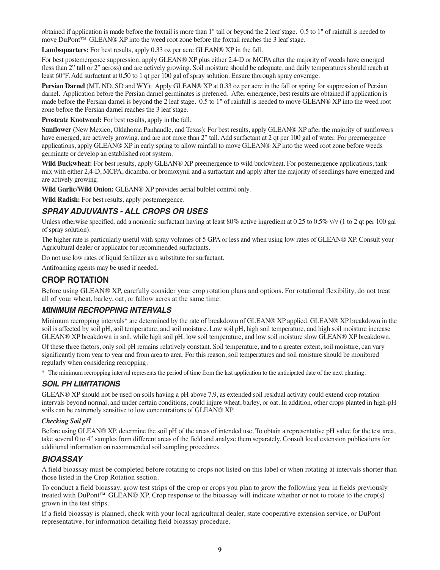obtained if application is made before the foxtail is more than 1" tall or beyond the 2 leaf stage. 0.5 to 1" of rainfall is needed to move DuPont™ GLEAN® XP into the weed root zone before the foxtail reaches the 3 leaf stage.

**Lambsquarters:** For best results, apply 0.33 oz per acre GLEAN® XP in the fall.

For best postemergence suppression, apply GLEAN® XP plus either 2,4-D or MCPA after the majority of weeds have emerged (less than 2" tall or 2" across) and are actively growing. Soil moisture should be adequate, and daily temperatures should reach at least 60°F. Add surfactant at 0.50 to 1 qt per 100 gal of spray solution. Ensure thorough spray coverage.

**Persian Darnel** (MT, ND, SD and WY): Apply GLEAN® XP at 0.33 oz per acre in the fall or spring for suppression of Persian darnel. Application before the Persian darnel germinates is preferred. After emergence, best results are obtained if application is made before the Persian darnel is beyond the 2 leaf stage. 0.5 to 1" of rainfall is needed to move GLEAN® XP into the weed root zone before the Persian darnel reaches the 3 leaf stage.

**Prostrate Knotweed:** For best results, apply in the fall.

**Sunflower** (New Mexico, Oklahoma Panhandle, and Texas): For best results, apply GLEAN® XP after the majority of sunflowers have emerged, are actively growing, and are not more than 2" tall. Add surfactant at 2 qt per 100 gal of water. For preemergence applications, apply GLEAN® XP in early spring to allow rainfall to move GLEAN® XP into the weed root zone before weeds germinate or develop an established root system.

**Wild Buckwheat:** For best results, apply GLEAN® XP preemergence to wild buckwheat. For postemergence applications, tank mix with either 2,4-D, MCPA, dicamba, or bromoxynil and a surfactant and apply after the majority of seedlings have emerged and are actively growing.

**Wild Garlic/Wild Onion:** GLEAN® XP provides aerial bulblet control only.

**Wild Radish:** For best results, apply postemergence.

# *SPRAY ADJUVANTS - ALL CROPS OR USES*

Unless otherwise specified, add a nonionic surfactant having at least 80% active ingredient at 0.25 to 0.5% v/v (1 to 2 qt per 100 gal of spray solution).

The higher rate is particularly useful with spray volumes of 5 GPA or less and when using low rates of GLEAN® XP. Consult your Agricultural dealer or applicator for recommended surfactants.

Do not use low rates of liquid fertilizer as a substitute for surfactant.

Antifoaming agents may be used if needed.

# **CROP ROTATION**

Before using GLEAN® XP, carefully consider your crop rotation plans and options. For rotational flexibility, do not treat all of your wheat, barley, oat, or fallow acres at the same time.

#### *MINIMUM RECROPPING INTERVALS*

Minimum recropping intervals\* are determined by the rate of breakdown of GLEAN® XP applied. GLEAN® XP breakdown in the soil is affected by soil pH, soil temperature, and soil moisture. Low soil pH, high soil temperature, and high soil moisture increase GLEAN® XP breakdown in soil, while high soil pH, low soil temperature, and low soil moisture slow GLEAN® XP breakdown.

Of these three factors, only soil pH remains relatively constant. Soil temperature, and to a greater extent, soil moisture, can vary significantly from year to year and from area to area. For this reason, soil temperatures and soil moisture should be monitored regularly when considering recropping.

\* The minimum recropping interval represents the period of time from the last application to the anticipated date of the next planting.

#### *SOIL PH LIMITATIONS*

GLEAN® XP should not be used on soils having a pH above 7.9, as extended soil residual activity could extend crop rotation intervals beyond normal, and under certain conditions, could injure wheat, barley, or oat. In addition, other crops planted in high-pH soils can be extremely sensitive to low concentrations of GLEAN® XP.

#### *Checking Soil pH*

Before using GLEAN® XP, determine the soil pH of the areas of intended use. To obtain a representative pH value for the test area, take several 0 to 4" samples from different areas of the field and analyze them separately. Consult local extension publications for additional information on recommended soil sampling procedures.

#### *BIOASSAY*

A field bioassay must be completed before rotating to crops not listed on this label or when rotating at intervals shorter than those listed in the Crop Rotation section.

To conduct a field bioassay, grow test strips of the crop or crops you plan to grow the following year in fields previously treated with DuPont<sup>™</sup> GLEAN® XP. Crop response to the bioassay will indicate whether or not to rotate to the crop(s) grown in the test strips.

If a field bioassay is planned, check with your local agricultural dealer, state cooperative extension service, or DuPont representative, for information detailing field bioassay procedure.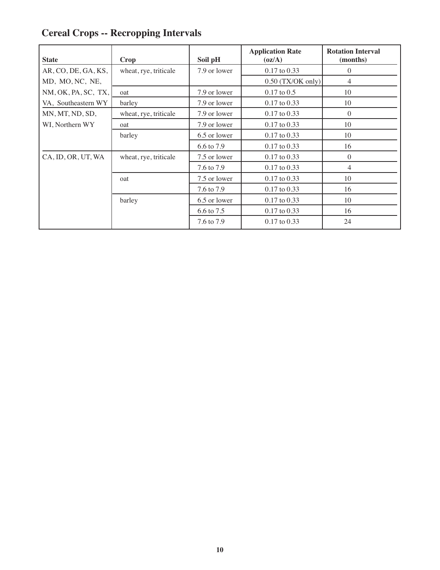# **Cereal Crops -- Recropping Intervals**

| <b>State</b>        | Crop                  | Soil pH      | <b>Application Rate</b><br>$\left( \frac{\alpha}{A} \right)$ | <b>Rotation Interval</b><br>(months) |
|---------------------|-----------------------|--------------|--------------------------------------------------------------|--------------------------------------|
| AR, CO, DE, GA, KS, | wheat, rye, triticale | 7.9 or lower | $0.17$ to $0.33$                                             | $\theta$                             |
| MD, MO, NC, NE,     |                       |              | $0.50$ (TX/OK only)                                          | 4                                    |
| NM, OK, PA, SC, TX, | oat                   | 7.9 or lower | $0.17$ to $0.5$                                              | 10                                   |
| VA, Southeastern WY | barley                | 7.9 or lower | $0.17$ to $0.33$                                             | 10                                   |
| MN, MT, ND, SD,     | wheat, rye, triticale | 7.9 or lower | $0.17$ to $0.33$                                             | $\overline{0}$                       |
| WI, Northern WY     | oat                   | 7.9 or lower | $0.17$ to $0.33$                                             | 10                                   |
|                     | barley                | 6.5 or lower | $0.17$ to $0.33$                                             | 10                                   |
|                     |                       | 6.6 to 7.9   | $0.17$ to $0.33$                                             | 16                                   |
| CA, ID, OR, UT, WA  | wheat, rye, triticale | 7.5 or lower | $0.17$ to $0.33$                                             | $\theta$                             |
|                     |                       | 7.6 to 7.9   | $0.17$ to $0.33$                                             | 4                                    |
|                     | oat                   | 7.5 or lower | $0.17$ to $0.33$                                             | 10                                   |
|                     |                       | 7.6 to 7.9   | $0.17$ to $0.33$                                             | 16                                   |
|                     | barley                | 6.5 or lower | $0.17$ to $0.33$                                             | 10                                   |
|                     |                       | 6.6 to 7.5   | $0.17$ to $0.33$                                             | 16                                   |
|                     |                       | 7.6 to 7.9   | $0.17$ to $0.33$                                             | 24                                   |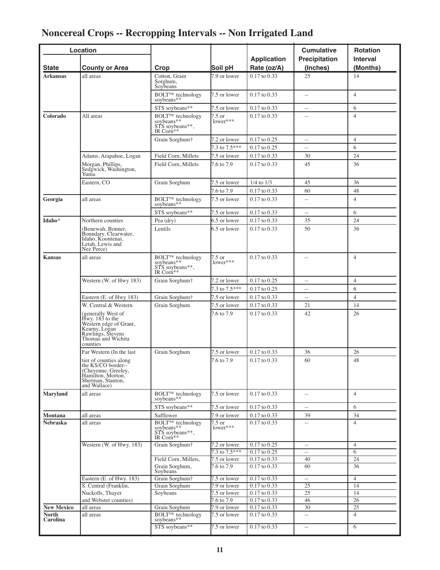# **Noncereal Crops -- Recropping Intervals -- Non Irrigated Land**

|                          | Location                                                                                                                                |                                                                                         |                               |                                      | <b>Cumulative</b>                          | <b>Rotation</b>     |
|--------------------------|-----------------------------------------------------------------------------------------------------------------------------------------|-----------------------------------------------------------------------------------------|-------------------------------|--------------------------------------|--------------------------------------------|---------------------|
|                          |                                                                                                                                         |                                                                                         |                               | <b>Application</b>                   | <b>Precipitation</b>                       | <b>Interval</b>     |
| <b>State</b>             | <b>County or Area</b>                                                                                                                   | Crop                                                                                    | Soil pH                       | Rate (oz/A)                          | (Inches)                                   | (Months)            |
| <b>Arkansas</b>          | all areas                                                                                                                               | Cotton, Grain<br>Sorghum,<br>Soybeans                                                   | 7.9 or lower                  | $0.17$ to $0.33$                     | 25                                         | 14                  |
|                          |                                                                                                                                         | <b>BOLTTM</b> technology<br>soybeans**                                                  | 7.5 or lower                  | $0.17$ to $0.33$                     | Ξ.                                         | $\overline{4}$      |
|                          |                                                                                                                                         | STS soybeans**                                                                          | 7.5 or lower                  | 0.17 to 0.33                         | $\overline{\phantom{a}}$                   | 6                   |
| Colorado                 | All areas                                                                                                                               | BOLT <sup>TM</sup> technology<br>soybeans**<br>STS soybeans**,<br>IR Corn <sup>**</sup> | $7.5$ or<br>lower***          | $0.17$ to $0.33$                     |                                            | $\overline{4}$      |
|                          |                                                                                                                                         | Grain Sorghum†                                                                          | 7.2 or lower<br>7.3 to 7.5*** | 0.17 to 0.25                         | $\overline{\phantom{a}}$<br>$\overline{a}$ | $\overline{4}$<br>6 |
|                          | Adams, Arapahoe, Logan                                                                                                                  | Field Corn, Millets                                                                     | 7.5 or lower                  | $0.17$ to $0.25$<br>$0.17$ to $0.33$ | 30                                         | 24                  |
|                          | Morgan, Phillips,                                                                                                                       | Field Corn, Millets                                                                     | 7.6 to 7.9                    | 0.17 to 0.33                         | 45                                         | 36                  |
|                          | Sedgwick, Washington,<br>Yuma                                                                                                           |                                                                                         |                               |                                      |                                            |                     |
|                          | Eastern, CO                                                                                                                             | Grain Sorghum                                                                           | 7.5 or lower                  | $1/4$ to $1/3$                       | 45                                         | 36                  |
|                          |                                                                                                                                         |                                                                                         | 7.6 to 7.9                    | 0.17 to 0.33                         | 60                                         | 48                  |
| Georgia                  | all areas                                                                                                                               | BOLT <sup>TM</sup> technology<br>soybeans**                                             | 7.5 or lower                  | $0.17$ to $0.33$                     | $\overline{a}$                             | $\overline{4}$      |
|                          |                                                                                                                                         | STS soybeans**                                                                          | 7.5 or lower                  | 0.17 to 0.33                         | $\overline{a}$                             | 6                   |
| Idaho*                   | Northern counties                                                                                                                       | Pea (dry)                                                                               | 6.5 or lower                  | 0.17 to 0.33                         | 35                                         | 24                  |
|                          | (Benewah, Bonner,<br>Boundary, Clearwater,<br>Idaho, Koontenai,<br>Letah, Lewis and<br>Nez Perce)                                       | Lentils                                                                                 | 6.5 or lower                  | 0.17 to 0.33                         | 50                                         | 36                  |
| <b>Kansas</b>            | all areas                                                                                                                               | <b>BOLT™</b> technology<br>soybeans**<br>STS soybeans**,<br>IR Corn**                   | 7.5 or<br>lower***            | $0.17$ to $0.33$                     | $\overline{\phantom{a}}$                   | $\overline{4}$      |
|                          | Western (W. of Hwy 183)                                                                                                                 | Grain Sorghum <sup>+</sup>                                                              | 7.2 or lower                  | 0.17 to 0.25                         | $\overline{\phantom{a}}$                   | $\overline{4}$      |
|                          |                                                                                                                                         |                                                                                         | 7.3 to 7.5***                 | $0.17$ to $0.25$                     | $\overline{a}$                             | 6                   |
|                          | Eastern (E. of Hwy 183)                                                                                                                 | Grain Sorghum <sup>+</sup>                                                              | 7.5 or lower                  | $0.17$ to $0.33$                     | Ξ.                                         | $\overline{4}$      |
|                          | W. Central & Western                                                                                                                    | Grain Sorghum                                                                           | 7.5 or lower                  | $0.17$ to $0.33$                     | 21                                         | 14                  |
|                          | (generally West of<br>Hwy. 183 to the<br>Western edge of Grant,<br>Kearny, Logan<br>Rawlings, Stevens<br>Thomas and Wichita<br>counties |                                                                                         | 7.6 to 7.9                    | $0.17$ to $0.33$                     | 42                                         | 26                  |
|                          | Far Western (In the last)                                                                                                               | Grain Sorghum                                                                           | 7.5 or lower                  | 0.17 to 0.33                         | 36                                         | 26                  |
|                          | tier of counties along<br>the KS/CO border--<br>(Cheyenne, Greeley,<br>Hamilton, Morton,<br>Sherman, Stanton,<br>and Wallace)           |                                                                                         | 7.6 to 7.9                    | 0.17 to 0.33                         | 60                                         | 48                  |
| <b>Maryland</b>          | all areas                                                                                                                               | <b>BOLT™</b> technology<br>sovbeans**                                                   | 7.5 or lower                  | $0.17$ to $0.33$                     | $\overline{\phantom{m}}$                   | $\overline{4}$      |
|                          |                                                                                                                                         | STS sovbeans**                                                                          | 7.5 or lower                  | $0.17$ to $0.33$                     | н,                                         | 6                   |
| Montana                  | all areas                                                                                                                               | Safflower                                                                               | 7.9 or lower                  | $0.17$ to $0.33$                     | 39                                         | 34                  |
| Nebraska                 | all areas                                                                                                                               | <b>BOLTTM</b> technology<br>soybeans**<br>STS soybeans**,<br>IR Corn <sup>**</sup>      | $7.5 \text{ or }$<br>lower*** | $0.17$ to $0.33$                     | $\overline{a}$                             | $\overline{4}$      |
|                          | Western (W. of Hwy. 183)                                                                                                                | Grain Sorghum <sup>+</sup>                                                              | 7.2 or lower                  | $0.17$ to $0.25$                     | $\overline{\phantom{a}}$                   | $\overline{4}$      |
|                          |                                                                                                                                         |                                                                                         | $7.3 \text{ to } 7.5***$      | $0.17$ to $0.25$                     | $\overline{\phantom{a}}$                   | 6                   |
|                          |                                                                                                                                         | Field Corn, Millets,<br>Grain Sorghum,                                                  | 7.5 or lower<br>7.6 to 7.9    | 0.17 to 0.33<br>0.17 to 0.33         | 40<br>60                                   | 24<br>36            |
|                          | Eastern (E. of Hwy. 183)                                                                                                                | Soybeans<br>Grain Sorghum†                                                              | 7.5 or lower                  | 0.17 to 0.33                         | $\sim$                                     | $\overline{4}$      |
|                          | S. Central (Franklin,                                                                                                                   | Grain Sorghum                                                                           | 7.9 or lower                  | 0.17 to 0.33                         | 25                                         | 14                  |
|                          | Nuckolls, Thayer                                                                                                                        | Soybeans                                                                                | 7.5 or lower                  | 0.17 to 0.33                         | $\overline{25}$                            | 14                  |
|                          | and Webster counties)                                                                                                                   |                                                                                         | 7.6 to 7.9                    | 0.17 to 0.33                         | 46                                         | 26                  |
| <b>New Mexico</b>        | all areas                                                                                                                               | Grain Sorghum                                                                           | 7.9 or lower                  | 0.17 to 0.33                         | 30                                         | 25                  |
| <b>North</b><br>Carolina | all areas                                                                                                                               | <b>BOLTTM</b> technology<br>soybeans**                                                  | 7.5 or lower                  | 0.17 to 0.33                         | $\mathcal{L} = \mathcal{L}$                | $\overline{4}$      |
|                          |                                                                                                                                         | STS soybeans**                                                                          | 7.5 or lower                  | 0.17 to 0.33                         | $\overline{\phantom{a}}$                   | 6                   |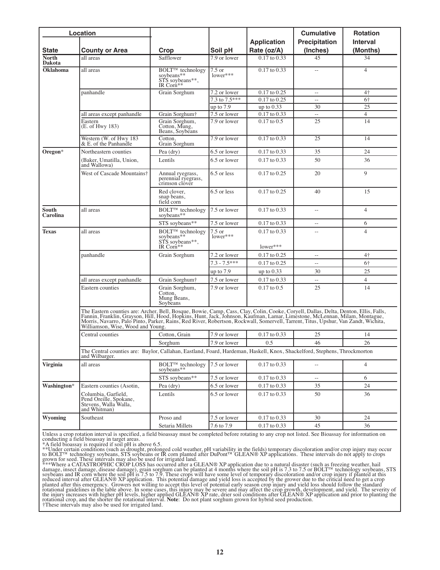|                          | Location                                                                                                                                                                                                                                                                                                                                                                                                  |                                                                                   |                    | <b>Application</b>             | <b>Cumulative</b><br><b>Precipitation</b> | <b>Rotation</b><br><b>Interval</b> |
|--------------------------|-----------------------------------------------------------------------------------------------------------------------------------------------------------------------------------------------------------------------------------------------------------------------------------------------------------------------------------------------------------------------------------------------------------|-----------------------------------------------------------------------------------|--------------------|--------------------------------|-------------------------------------------|------------------------------------|
| <b>State</b>             | <b>County or Area</b>                                                                                                                                                                                                                                                                                                                                                                                     | Crop                                                                              | Soil pH            | Rate (oz/A)                    | (Inches)                                  | (Months)                           |
| North<br><b>Dakota</b>   | all areas                                                                                                                                                                                                                                                                                                                                                                                                 | Safflower                                                                         | 7.9 or lower       | $0.17$ to $0.33$               | 45                                        | 34                                 |
| <b>Oklahoma</b>          | all areas                                                                                                                                                                                                                                                                                                                                                                                                 | <b>BOLT™</b> technology<br>soybeans**<br>STS soybeans**.<br>IR Corn <sup>**</sup> | 7.5 or<br>lower*** | 0.17 to 0.33                   | $\sim$ $\sim$                             | $\overline{4}$                     |
|                          | panhandle                                                                                                                                                                                                                                                                                                                                                                                                 | Grain Sorghum                                                                     | 7.2 or lower       | $0.17$ to $0.25$               | $\overline{\phantom{a}}$                  | $4+$                               |
|                          |                                                                                                                                                                                                                                                                                                                                                                                                           |                                                                                   | 7.3 to 7.5***      | $0.17$ to $0.25$               | $\overline{\phantom{m}}$                  | 6†                                 |
|                          |                                                                                                                                                                                                                                                                                                                                                                                                           |                                                                                   | up to $7.9$        | up to $0.33$                   | 30                                        | 25                                 |
|                          | all areas except panhandle                                                                                                                                                                                                                                                                                                                                                                                | Grain Sorghum†                                                                    | 7.5 or lower       | 0.17 to 0.33                   | $\overline{\phantom{a}}$                  | $\overline{4}$                     |
|                          | Eastern<br>(E. of Hwy 183)                                                                                                                                                                                                                                                                                                                                                                                | Grain Sorghum,<br>Cotton, Mung,<br>Beans, Soybeans                                | 7.9 or lower       | $0.17$ to $0.5$                | 25                                        | 14                                 |
|                          | Western (W. of Hwy 183<br>& E. of the Panhandle                                                                                                                                                                                                                                                                                                                                                           | Cotton.<br>Grain Sorghum                                                          | 7.9 or lower       | $0.17$ to $0.33$               | 25                                        | 14                                 |
| Oregon*                  | Northeastern counties                                                                                                                                                                                                                                                                                                                                                                                     | Pea (dry)                                                                         | 6.5 or lower       | $0.17$ to $0.33$               | 35                                        | 24                                 |
|                          | (Baker, Umatilla, Union,<br>and Wallowa)                                                                                                                                                                                                                                                                                                                                                                  | Lentils                                                                           | 6.5 or lower       | $0.17$ to $0.33$               | 50                                        | 36                                 |
|                          | West of Cascade Mountains†                                                                                                                                                                                                                                                                                                                                                                                | Annual ryegrass,<br>perennial ryegrass,<br>crimson clover                         | 6.5 or less        | $0.17$ to $0.25$               | 20                                        | 9                                  |
|                          |                                                                                                                                                                                                                                                                                                                                                                                                           | Red clover.<br>snap beans,<br>field corn                                          | 6.5 or less        | $0.17$ to $0.25$               | 40                                        | 15                                 |
| <b>South</b><br>Carolina | all areas                                                                                                                                                                                                                                                                                                                                                                                                 | <b>BOLT™</b> technology<br>soybeans**                                             | 7.5 or lower       | $0.17$ to $0.33$               | $\overline{\phantom{a}}$                  | $\overline{4}$                     |
|                          |                                                                                                                                                                                                                                                                                                                                                                                                           | STS soybeans**                                                                    | 7.5 or lower       | $0.17$ to $0.33$               | $-$                                       | 6                                  |
| <b>Texas</b>             | all areas                                                                                                                                                                                                                                                                                                                                                                                                 | <b>BOLT™</b> technology<br>soybeans**<br>STS soybeans**,<br>IR Corn**             | 7.5 or<br>lower*** | $0.17$ to $0.33$<br>$lower***$ | $\overline{\phantom{a}}$                  | $\overline{4}$                     |
|                          | panhandle                                                                                                                                                                                                                                                                                                                                                                                                 | Grain Sorghum                                                                     | 7.2 or lower       | $0.17$ to $0.25$               | $\overline{\phantom{a}}$                  | $4+$                               |
|                          |                                                                                                                                                                                                                                                                                                                                                                                                           |                                                                                   | $7.3 - 7.5***$     | 0.17 to 0.25                   | $\overline{a}$                            | 6†                                 |
|                          |                                                                                                                                                                                                                                                                                                                                                                                                           |                                                                                   | up to $7.9$        | up to 0.33                     | 30                                        | 25                                 |
|                          | all areas except panhandle                                                                                                                                                                                                                                                                                                                                                                                | Grain Sorghum <sup>+</sup>                                                        | 7.5 or lower       | $0.17$ to $0.33$               |                                           | $\overline{4}$                     |
|                          | Eastern counties                                                                                                                                                                                                                                                                                                                                                                                          | Grain Sorghum,<br>Cotton,<br>Mung Beans,<br>Soybeans                              | 7.9 or lower       | $0.17$ to $0.5$                | 25                                        | 14                                 |
|                          | The Eastern counties are: Archer, Bell, Bosque, Bowie, Camp, Cass, Clay, Colin, Cooke, Coryell, Dallas, Delta, Denton, Ellis, Falls, Fannin, Franklin, Grayson, Hill, Hood, Hopkins, Hunt, Jack, Johnson, Kaufman, Lamar, Lime<br>Morris, Navarro, Palo Pinto, Parker, Rains, Red River, Robertson, Rockwall, Somervell, Tarrent, Titus, Upshur, Van Zandt, Wichita,<br>Williamson, Wise, Wood and Young. |                                                                                   |                    |                                |                                           |                                    |
|                          | Central counties                                                                                                                                                                                                                                                                                                                                                                                          | Cotton, Grain                                                                     | 7.9 or lower       | $0.17$ to $0.33$               | 25                                        | 14                                 |
|                          |                                                                                                                                                                                                                                                                                                                                                                                                           | Sorghum                                                                           | 7.9 or lower       | 0.5                            | 46                                        | 26                                 |
|                          | The Central counties are: Baylor, Callahan, Eastland, Foard, Hardeman, Haskell, Knox, Shackelford, Stephens, Throckmorton<br>and Wilbarger.                                                                                                                                                                                                                                                               |                                                                                   |                    |                                |                                           |                                    |
| <b>Virginia</b>          | all areas                                                                                                                                                                                                                                                                                                                                                                                                 | BOLT <sup>™</sup> technology<br>soybeans**                                        | 7.5 or lower       | 0.17 to 0.33                   | $\overline{a}$                            | $\overline{4}$                     |
|                          |                                                                                                                                                                                                                                                                                                                                                                                                           | STS soybeans**                                                                    | 7.5 or lower       | 0.17 to 0.33                   | $\hspace{0.05cm} \ldots$                  | 6                                  |
| Washington*              | Eastern counties (Asotin,                                                                                                                                                                                                                                                                                                                                                                                 | Pea (dry)                                                                         | 6.5 or lower       | 0.17 to 0.33                   | 35                                        | 24                                 |
|                          | Columbia, Garfield,<br>Pend Oreille, Spokane,<br>Stevens, Walla Walla,<br>and Whitman)                                                                                                                                                                                                                                                                                                                    | Lentils                                                                           | 6.5 or lower       | 0.17 to 0.33                   | 50                                        | 36                                 |
| Wyoming                  | Southeast                                                                                                                                                                                                                                                                                                                                                                                                 | Proso and                                                                         | 7.5 or lower       | 0.17 to 0.33                   | 30                                        | 24                                 |
|                          |                                                                                                                                                                                                                                                                                                                                                                                                           | Setaria Millets                                                                   | 7.6 to 7.9         | 0.17 to 0.33                   | 45                                        | 36                                 |

Unless a crop rotation interval is specified, a field bioassay must be completed before rotating to any crop not listed. See Bioassay for information on<br>conducting a field bioassay in target areas.<br>\*\*Under certain conditi

damage, insect damage, disease damage), grain sorghum can be planted at 4 months where the soil pH is 7.3 to 7.5 or BOLT™ technology soybeans, STS<br>soybeans and IR corn where the soil pH is 7.5 to 7.9. These crops will hav planted after this emergency. Growers not willing to accept this level of potential early season crop injury and yield loss should follow the standard<br>rotational guidelines in the table above. In some cases, this injury ma the injury increases with higher pH levels, higher applied GLEAN® XP rate, drier soil conditions after GLEAN® XP application and prior to planting the rotational crop, and the shorter the rotational interval. Note: Do not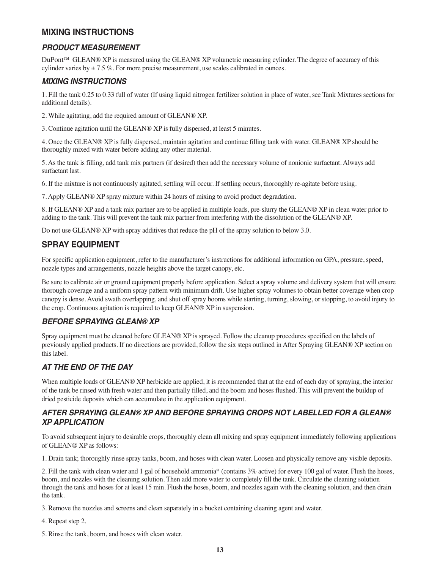# **MIXING INSTRUCTIONS**

# *PRODUCT MEASUREMENT*

DuPont™ GLEAN® XP is measured using the GLEAN® XP volumetric measuring cylinder. The degree of accuracy of this cylinder varies by  $\pm 7.5$  %. For more precise measurement, use scales calibrated in ounces.

#### *MIXING INSTRUCTIONS*

1. Fill the tank 0.25 to 0.33 full of water (If using liquid nitrogen fertilizer solution in place of water, see Tank Mixtures sections for additional details).

2. While agitating, add the required amount of GLEAN® XP.

3. Continue agitation until the GLEAN® XP is fully dispersed, at least 5 minutes.

4. Once the GLEAN® XP is fully dispersed, maintain agitation and continue filling tank with water. GLEAN® XP should be thoroughly mixed with water before adding any other material.

5. As the tank is filling, add tank mix partners (if desired) then add the necessary volume of nonionic surfactant. Always add surfactant last.

6. If the mixture is not continuously agitated, settling will occur. If settling occurs, thoroughly re-agitate before using.

7. Apply GLEAN® XP spray mixture within 24 hours of mixing to avoid product degradation.

8. If GLEAN® XP and a tank mix partner are to be applied in multiple loads, pre-slurry the GLEAN® XP in clean water prior to adding to the tank. This will prevent the tank mix partner from interfering with the dissolution of the GLEAN® XP.

Do not use GLEAN® XP with spray additives that reduce the pH of the spray solution to below 3.0.

# **SPRAY EQUIPMENT**

For specific application equipment, refer to the manufacturer's instructions for additional information on GPA, pressure, speed, nozzle types and arrangements, nozzle heights above the target canopy, etc.

Be sure to calibrate air or ground equipment properly before application. Select a spray volume and delivery system that will ensure thorough coverage and a uniform spray pattern with minimum drift. Use higher spray volumes to obtain better coverage when crop canopy is dense. Avoid swath overlapping, and shut off spray booms while starting, turning, slowing, or stopping, to avoid injury to the crop. Continuous agitation is required to keep GLEAN® XP in suspension.

# *BEFORE SPRAYING GLEAN® XP*

Spray equipment must be cleaned before GLEAN® XP is sprayed. Follow the cleanup procedures specified on the labels of previously applied products. If no directions are provided, follow the six steps outlined in After Spraying GLEAN® XP section on this label.

# *AT THE END OF THE DAY*

When multiple loads of GLEAN® XP herbicide are applied, it is recommended that at the end of each day of spraying, the interior of the tank be rinsed with fresh water and then partially filled, and the boom and hoses flushed. This will prevent the buildup of dried pesticide deposits which can accumulate in the application equipment.

# *AFTER SPRAYING GLEAN® XP AND BEFORE SPRAYING CROPS NOT LABELLED FOR A GLEAN® XP APPLICATION*

To avoid subsequent injury to desirable crops, thoroughly clean all mixing and spray equipment immediately following applications of GLEAN® XP as follows:

1. Drain tank; thoroughly rinse spray tanks, boom, and hoses with clean water. Loosen and physically remove any visible deposits.

2. Fill the tank with clean water and 1 gal of household ammonia\* (contains 3% active) for every 100 gal of water. Flush the hoses, boom, and nozzles with the cleaning solution. Then add more water to completely fill the tank. Circulate the cleaning solution through the tank and hoses for at least 15 min. Flush the hoses, boom, and nozzles again with the cleaning solution, and then drain the tank.

3. Remove the nozzles and screens and clean separately in a bucket containing cleaning agent and water.

4. Repeat step 2.

5. Rinse the tank, boom, and hoses with clean water.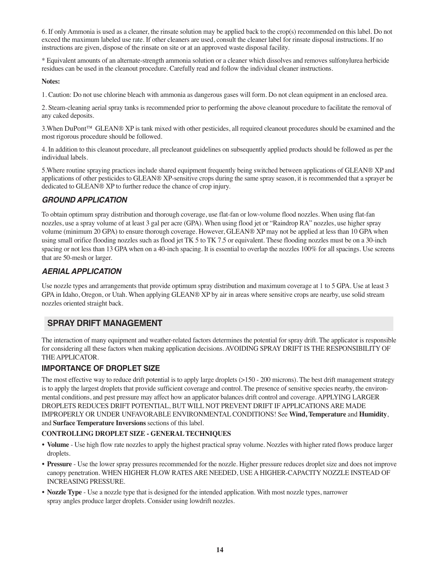6. If only Ammonia is used as a cleaner, the rinsate solution may be applied back to the crop(s) recommended on this label. Do not exceed the maximum labeled use rate. If other cleaners are used, consult the cleaner label for rinsate disposal instructions. If no instructions are given, dispose of the rinsate on site or at an approved waste disposal facility.

\* Equivalent amounts of an alternate-strength ammonia solution or a cleaner which dissolves and removes sulfonylurea herbicide residues can be used in the cleanout procedure. Carefully read and follow the individual cleaner instructions.

#### **Notes:**

1. Caution: Do not use chlorine bleach with ammonia as dangerous gases will form. Do not clean equipment in an enclosed area.

2. Steam-cleaning aerial spray tanks is recommended prior to performing the above cleanout procedure to facilitate the removal of any caked deposits.

3.When DuPont™ GLEAN® XP is tank mixed with other pesticides, all required cleanout procedures should be examined and the most rigorous procedure should be followed.

4. In addition to this cleanout procedure, all precleanout guidelines on subsequently applied products should be followed as per the individual labels.

5.Where routine spraying practices include shared equipment frequently being switched between applications of GLEAN® XP and applications of other pesticides to GLEAN® XP-sensitive crops during the same spray season, it is recommended that a sprayer be dedicated to GLEAN® XP to further reduce the chance of crop injury.

# *GROUND APPLICATION*

To obtain optimum spray distribution and thorough coverage, use flat-fan or low-volume flood nozzles. When using flat-fan nozzles, use a spray volume of at least 3 gal per acre (GPA). When using flood jet or "Raindrop RA" nozzles, use higher spray volume (minimum 20 GPA) to ensure thorough coverage. However, GLEAN® XP may not be applied at less than 10 GPA when using small orifice flooding nozzles such as flood jet TK 5 to TK 7.5 or equivalent. These flooding nozzles must be on a 30-inch spacing or not less than 13 GPA when on a 40-inch spacing. It is essential to overlap the nozzles 100% for all spacings. Use screens that are 50-mesh or larger.

# *AERIAL APPLICATION*

Use nozzle types and arrangements that provide optimum spray distribution and maximum coverage at 1 to 5 GPA. Use at least 3 GPA in Idaho, Oregon, or Utah. When applying GLEAN® XP by air in areas where sensitive crops are nearby, use solid stream nozzles oriented straight back.

# **SPRAY DRIFT MANAGEMENT**

The interaction of many equipment and weather-related factors determines the potential for spray drift. The applicator is responsible for considering all these factors when making application decisions. AVOIDING SPRAY DRIFT IS THE RESPONSIBILITY OF THE APPLICATOR.

#### **IMPORTANCE OF DROPLET SIZE**

The most effective way to reduce drift potential is to apply large droplets (>150 - 200 microns). The best drift management strategy is to apply the largest droplets that provide sufficient coverage and control. The presence of sensitive species nearby, the environmental conditions, and pest pressure may affect how an applicator balances drift control and coverage. APPLYING LARGER DROPLETS REDUCES DRIFT POTENTIAL, BUT WILL NOT PREVENT DRIFT IF APPLICATIONS ARE MADE IMPROPERLY OR UNDER UNFAVORABLE ENVIRONMENTAL CONDITIONS! See **Wind, Temperature** and **Humidity**, and **Surface Temperature Inversions** sections of this label.

#### **CONTROLLING DROPLET SIZE - GENERALTECHNIQUES**

- **Volume** Use high flow rate nozzles to apply the highest practical spray volume. Nozzles with higher rated flows produce larger droplets.
- **Pressure** Use the lower spray pressures recommended for the nozzle. Higher pressure reduces droplet size and does not improve canopy penetration. WHEN HIGHER FLOW RATES ARE NEEDED, USE A HIGHER-CAPACITY NOZZLE INSTEAD OF INCREASING PRESSURE.
- **Nozzle Type** Use a nozzle type that is designed for the intended application. With most nozzle types, narrower spray angles produce larger droplets. Consider using lowdrift nozzles.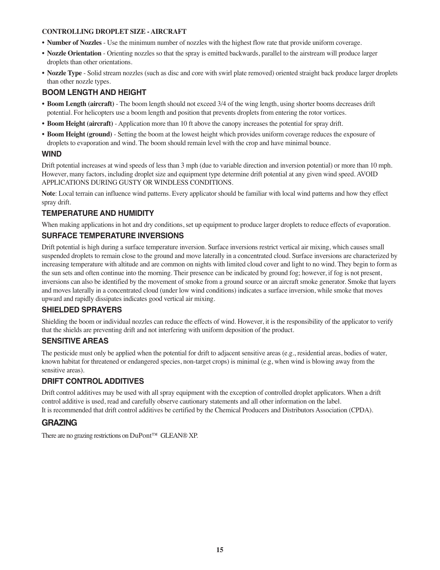#### **CONTROLLING DROPLET SIZE - AIRCRAFT**

- **Number of Nozzles** Use the minimum number of nozzles with the highest flow rate that provide uniform coverage.
- **Nozzle Orientation** Orienting nozzles so that the spray is emitted backwards, parallel to the airstream will produce larger droplets than other orientations.
- **Nozzle Type** Solid stream nozzles (such as disc and core with swirl plate removed) oriented straight back produce larger droplets than other nozzle types.

# **BOOM LENGTH AND HEIGHT**

- **Boom Length (aircraft)** The boom length should not exceed 3/4 of the wing length, using shorter booms decreases drift potential. For helicopters use a boom length and position that prevents droplets from entering the rotor vortices.
- **Boom Height (aircraft)** Application more than 10 ft above the canopy increases the potential for spray drift.
- **Boom Height (ground)** Setting the boom at the lowest height which provides uniform coverage reduces the exposure of droplets to evaporation and wind. The boom should remain level with the crop and have minimal bounce.

# **WIND**

Drift potential increases at wind speeds of less than 3 mph (due to variable direction and inversion potential) or more than 10 mph. However, many factors, including droplet size and equipment type determine drift potential at any given wind speed. AVOID APPLICATIONS DURING GUSTY OR WINDLESS CONDITIONS.

**Note**: Local terrain can influence wind patterns. Every applicator should be familiar with local wind patterns and how they effect spray drift.

# **TEMPERATURE AND HUMIDITY**

When making applications in hot and dry conditions, set up equipment to produce larger droplets to reduce effects of evaporation.

# **SURFACE TEMPERATURE INVERSIONS**

Drift potential is high during a surface temperature inversion. Surface inversions restrict vertical air mixing, which causes small suspended droplets to remain close to the ground and move laterally in a concentrated cloud. Surface inversions are characterized by increasing temperature with altitude and are common on nights with limited cloud cover and light to no wind. They begin to form as the sun sets and often continue into the morning. Their presence can be indicated by ground fog; however, if fog is not present, inversions can also be identified by the movement of smoke from a ground source or an aircraft smoke generator. Smoke that layers and moves laterally in a concentrated cloud (under low wind conditions) indicates a surface inversion, while smoke that moves upward and rapidly dissipates indicates good vertical air mixing.

#### **SHIELDED SPRAYERS**

Shielding the boom or individual nozzles can reduce the effects of wind. However, it is the responsibility of the applicator to verify that the shields are preventing drift and not interfering with uniform deposition of the product.

#### **SENSITIVE AREAS**

The pesticide must only be applied when the potential for drift to adjacent sensitive areas (e.g., residential areas, bodies of water, known habitat for threatened or endangered species, non-target crops) is minimal (e.g, when wind is blowing away from the sensitive areas).

# **DRIFT CONTROL ADDITIVES**

Drift control additives may be used with all spray equipment with the exception of controlled droplet applicators. When a drift control additive is used, read and carefully observe cautionary statements and all other information on the label. It is recommended that drift control additives be certified by the Chemical Producers and Distributors Association (CPDA).

# **GRAZING**

There are no grazing restrictions on DuPont™ GLEAN® XP.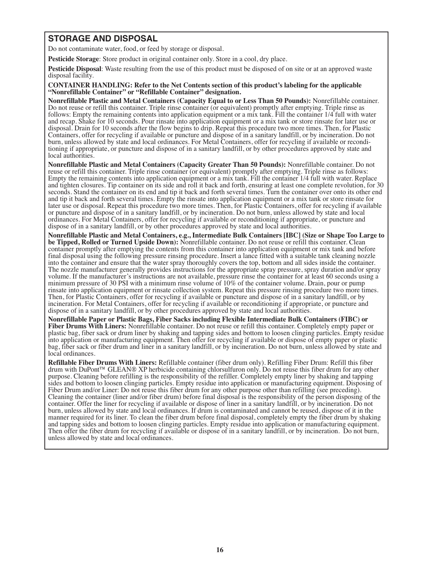# **STORAGE AND DISPOSAL**

Do not contaminate water, food, or feed by storage or disposal.

**Pesticide Storage**: Store product in original container only. Store in a cool, dry place.

**Pesticide Disposal**: Waste resulting from the use of this product must be disposed of on site or at an approved waste disposal facility.

# **CONTAINER HANDLING: Refer to the Net Contents section of this product's labeling for the applicable "Nonrefillable Container" or "Refillable Container" designation.**

**Nonrefillable Plastic and Metal Containers (Capacity Equal to or Less Than 50 Pounds):** Nonrefillable container.<br>Do not reuse or refill this container. Triple rinse container (or equivalent) promptly after emptying. Tripl follows: Empty the remaining contents into application equipment or a mix tank. Fill the container 1/4 full with water and recap. Shake for 10 seconds. Pour rinsate into application equipment or a mix tank or store rinsate for later use or disposal. Drain for 10 seconds after the flow begins to drip. Repeat this procedure two more times. Then, for Plastic Containers, offer for recycling if available or puncture and dispose of in a sanitary landfill, or by incineration. Do not burn, unless allowed by state and local ordinances. For Metal Containers, offer for recycling if available or recondi-<br>tioning if appropriate, or puncture and dispose of in a sanitary landfill, or by other procedures appro local authorities.

**Nonrefillable Plastic and Metal Containers (Capacity Greater Than 50 Pounds):** Nonrefillable container. Do not reuse or refill this container. Triple rinse container (or equivalent) promptly after emptying. Triple rinse as follows: Empty the remaining contents into application equipment or a mix tank. Fill the container 1/4 full with water. Replace and tighten closures. Tip container on its side and roll it back and forth, ensuring at least one complete revolution, for 30 seconds. Stand the container on its end and tip it back and forth several times. Turn the container over onto its other end and tip it back and forth several times. Empty the rinsate into application equipment or a mix tank or store rinsate for later use or disposal. Repeat this procedure two more times. Then, for Plastic Containers, offer for recycling if available or puncture and dispose of in a sanitary landfill, or by incineration. Do not burn, unless allowed by state and local ordinances. For Metal Containers, offer for recycling if available or reconditioning if appropriate, or puncture and dispose of in a sanitary landfill, or by other procedures approved by state and local authorities.

**Nonrefillable Plastic and Metal Containers, e.g., Intermediate Bulk Containers [IBC] (Size or Shape Too Large to be Tipped, Rolled or Turned Upside Down):** Nonrefillable container. Do not reuse or refill this container. Clean container promptly after emptying the contents from this container into application equipment or mix tank and before final disposal using the following pressure rinsing procedure. Insert a lance fitted with a suitable tank cleaning nozzle into the container and ensure that the water spray thoroughly covers the top, bottom and all sides i The nozzle manufacturer generally provides instructions for the appropriate spray pressure, spray duration and/or spray volume. If the manufacturer's instructions are not available, pressure rinse the container for at least 60 seconds using a minimum pressure of 30 PSI with a minimum rinse volume of 10% of the container volume. Drain, pour or pump rinsate into application equipment or rinsate collection system. Repeat this pressure rinsing procedure two more ti Then, for Plastic Containers, offer for recycling if available or puncture and dispose of in a sanitary landfill, or by incineration. For Metal Containers, offer for recycling if available or reconditioning if appropriate, or puncture and dispose of in a sanitary landfill, or by other procedures approved by state and local authorities.

**Nonrefillable Paper or Plastic Bags, Fiber Sacks including Flexible Intermediate Bulk Containers (FIBC) or Fiber Drums With Liners:** Nonrefillable container. Do not reuse or refill this container. Completely empty paper or plastic bag, fiber sack or drum liner by shaking and tapping sides and bottom to loosen clinging particles. Empty residue into application or manufacturing equipment. Then offer for recycling if available or dispose of empty paper or plastic bag, fiber sack or fiber drum and liner in a sanitary landfill, or by incineration. Do not burn, unless allowed by state and local ordinances.

**Refillable Fiber Drums With Liners:** Refillable container (fiber drum only). Refilling Fiber Drum: Refill this fiber drum with DuPont™ GLEAN® XP herbicide containing chlorsulfuron only. Do not reuse this fiber drum for any other purpose. Cleaning before refilling is the responsibility of the refiller. Completely empty liner by shaking and tapping sides and bottom to loosen clinging particles. Empty residue into application or manufacturing equipment. Disposing of Fiber Drum and/or Liner: Do not reuse this fiber drum for any other purpose other than refilling (see p Cleaning the container (liner and/or fiber drum) before final disposal is the responsibility of the person disposing of the container. Offer the liner for recycling if available or dispose of liner in a sanitary landfill, or by incineration. Do not burn, unless allowed by state and local ordinances. If drum is contaminated and cannot be reused, dispose of it in the manner required for its liner. To clean the fiber drum before final disposal, completely empty the fiber drum by shaking and tapping sides and bottom to loosen clinging particles. Empty residue into application or manufact Then offer the fiber drum for recycling if available or dispose of in a sanitary landfill, or by incineration. Do not burn, unless allowed by state and local ordinances.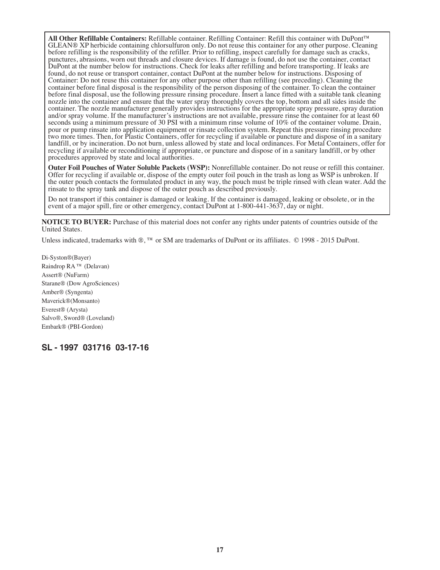All Other Refillable Containers: Refillable container. Refilling Container: Refill this container with DuPont<sup>TM</sup> GLEAN® XP herbicide containing chlorsulfuron only. Do not reuse this container for any other purpose. Clean punctures, abrasions, worn out threads and closure devices. If damage is found, do not use the container, contact DuPont at the number below for instructions. Check for leaks after refilling and before transporting. If leaks are found, do not reuse or transport container, contact DuPont at the number below for instructions. Disposing of Container: Do not reuse this container for any other purpose other than refilling (see preceding). Cleaning the container before final disposal is the responsibility of the person disposing of the container. To clean the container before final disposal, use the following pressure rinsing procedure. Insert a lance fitted with a suitable tank cleaning nozzle into the container and ensure that the water spray thoroughly covers the top, bottom and all sides inside the container. The nozzle manufacturer generally provides instructions for the appropriate spray pressure, spray duration and/or spray volume. If the manufacturer's instructions are not available, pressure rinse the container for at least 60 seconds using a minimum pressure of 30 PSI with a minimum rinse volume of 10% of the container volume. pour or pump rinsate into application equipment or rinsate collection system. Repeat this pressure rinsing procedure two more times. Then, for Plastic Containers, offer for recycling if available or puncture and dispose of in a sanitary landfill, or by incineration. Do not burn, unless allowed by state and local ordinances. For Metal Containers, offer for recycling if available or reconditioning if appropriate, or puncture and dispose of in a sanitary landfill, or by other procedures approved by state and local authorities.

**Outer Foil Pouches of Water Soluble Packets (WSP):** Nonrefillable container. Do not reuse or refill this container. Offer for recycling if available or, dispose of the empty outer foil pouch in the trash as long as WSP is the outer pouch contacts the formulated product in any way, the pouch must be triple rinsed with clean water. Add the rinsate to the spray tank and dispose of the outer pouch as described previously.

Do not transport if this container is damaged or leaking. If the container is damaged, leaking or obsolete, or in the event of a major spill, fire or other emergency, contact DuPont at 1-800-441-3637, day or night.

**NOTICE TO BUYER:** Purchase of this material does not confer any rights under patents of countries outside of the United States.

Unless indicated, trademarks with ®, ™ or SM are trademarks of DuPont or its affiliates. © 1998 - 2015 DuPont.

Di-Syston®(Bayer) Raindrop RA ™ (Delavan) Assert® (NuFarm) Starane® (Dow AgroSciences) Amber® (Syngenta) Maverick®(Monsanto) Everest® (Arysta) Salvo®, Sword® (Loveland) Embark® (PBI-Gordon)

# **SL - 1997 031716 03-17-16**